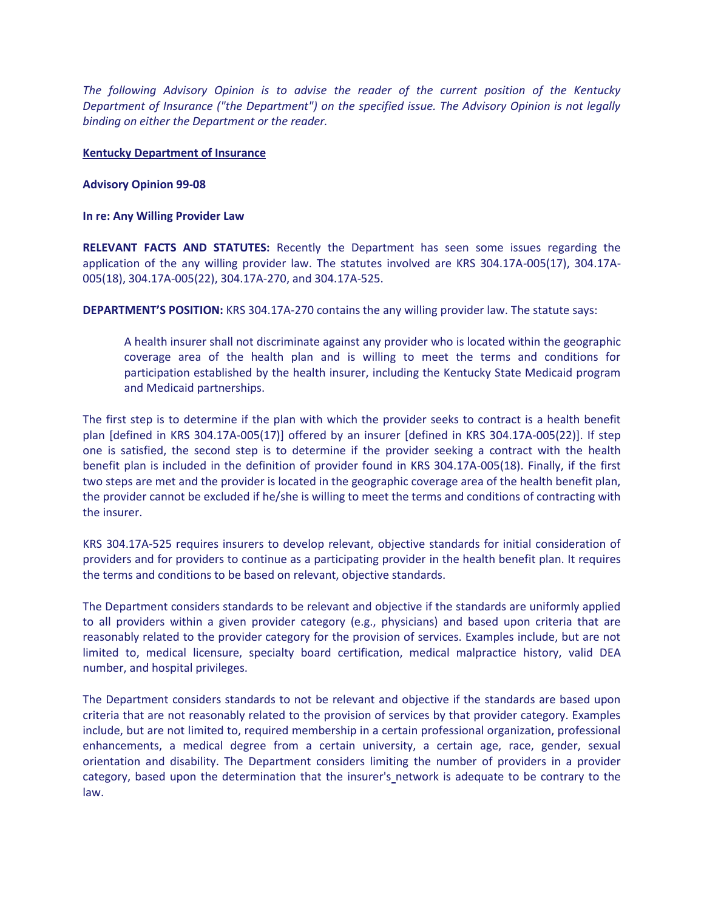*The following Advisory Opinion is to advise the reader of the current position of the Kentucky Department of Insurance ("the Department") on the specified issue. The Advisory Opinion is not legally binding on either the Department or the reader.*

## **Kentucky Department of Insurance**

## **Advisory Opinion 99-08**

## **In re: Any Willing Provider Law**

**RELEVANT FACTS AND STATUTES:** Recently the Department has seen some issues regarding the application of the any willing provider law. The statutes involved are KRS 304.17A-005(17), 304.17A-005(18), 304.17A-005(22), 304.17A-270, and 304.17A-525.

**DEPARTMENT'S POSITION:** KRS 304.17A-270 contains the any willing provider law. The statute says:

A health insurer shall not discriminate against any provider who is located within the geographic coverage area of the health plan and is willing to meet the terms and conditions for participation established by the health insurer, including the Kentucky State Medicaid program and Medicaid partnerships.

The first step is to determine if the plan with which the provider seeks to contract is a health benefit plan [defined in KRS 304.17A-005(17)] offered by an insurer [defined in KRS 304.17A-005(22)]. If step one is satisfied, the second step is to determine if the provider seeking a contract with the health benefit plan is included in the definition of provider found in KRS 304.17A-005(18). Finally, if the first two steps are met and the provider is located in the geographic coverage area of the health benefit plan, the provider cannot be excluded if he/she is willing to meet the terms and conditions of contracting with the insurer.

KRS 304.17A-525 requires insurers to develop relevant, objective standards for initial consideration of providers and for providers to continue as a participating provider in the health benefit plan. It requires the terms and conditions to be based on relevant, objective standards.

The Department considers standards to be relevant and objective if the standards are uniformly applied to all providers within a given provider category (e.g., physicians) and based upon criteria that are reasonably related to the provider category for the provision of services. Examples include, but are not limited to, medical licensure, specialty board certification, medical malpractice history, valid DEA number, and hospital privileges.

The Department considers standards to not be relevant and objective if the standards are based upon criteria that are not reasonably related to the provision of services by that provider category. Examples include, but are not limited to, required membership in a certain professional organization, professional enhancements, a medical degree from a certain university, a certain age, race, gender, sexual orientation and disability. The Department considers limiting the number of providers in a provider category, based upon the determination that the insurer's network is adequate to be contrary to the law.